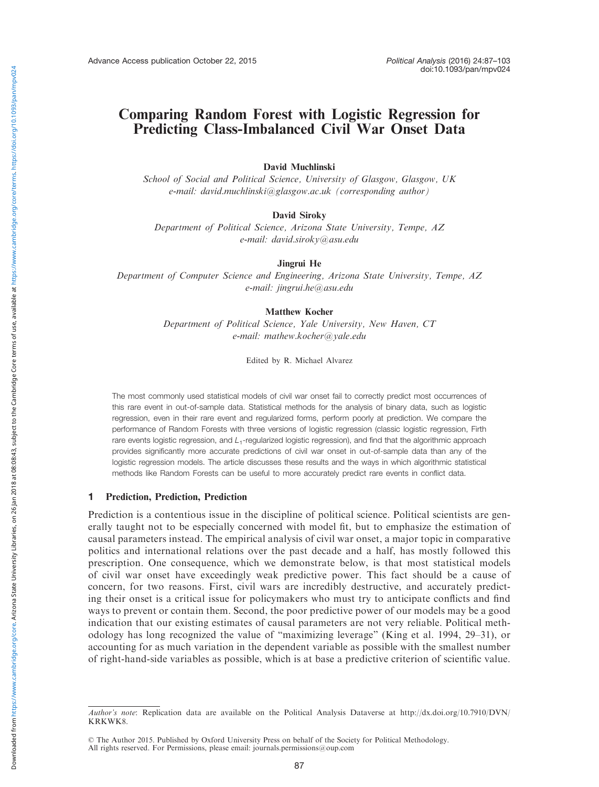# Comparing Random Forest with Logistic Regression for Predicting Class-Imbalanced Civil War Onset Data

#### David Muchlinski

School of Social and Political Science, University of Glasgow, Glasgow, UK e-mail: david.muchlinski@glasgow.ac.uk (corresponding author)

#### David Siroky

Department of Political Science, Arizona State University, Tempe, AZ e-mail: david.siroky@asu.edu

Jingrui He

Department of Computer Science and Engineering, Arizona State University, Tempe, AZ e-mail: jingrui.he@asu.edu

#### Matthew Kocher

Department of Political Science, Yale University, New Haven, CT e-mail: mathew.kocher@yale.edu

Edited by R. Michael Alvarez

The most commonly used statistical models of civil war onset fail to correctly predict most occurrences of this rare event in out-of-sample data. Statistical methods for the analysis of binary data, such as logistic regression, even in their rare event and regularized forms, perform poorly at prediction. We compare the performance of Random Forests with three versions of logistic regression (classic logistic regression, Firth rare events logistic regression, and L<sub>1</sub>-regularized logistic regression), and find that the algorithmic approach provides significantly more accurate predictions of civil war onset in out-of-sample data than any of the logistic regression models. The article discusses these results and the ways in which algorithmic statistical methods like Random Forests can be useful to more accurately predict rare events in conflict data.

## 1 Prediction, Prediction, Prediction

Prediction is a contentious issue in the discipline of political science. Political scientists are generally taught not to be especially concerned with model fit, but to emphasize the estimation of causal parameters instead. The empirical analysis of civil war onset, a major topic in comparative politics and international relations over the past decade and a half, has mostly followed this prescription. One consequence, which we demonstrate below, is that most statistical models of civil war onset have exceedingly weak predictive power. This fact should be a cause of concern, for two reasons. First, civil wars are incredibly destructive, and accurately predicting their onset is a critical issue for policymakers who must try to anticipate conflicts and find ways to prevent or contain them. Second, the poor predictive power of our models may be a good indication that our existing estimates of causal parameters are not very reliable. Political methodology has long recognized the value of "maximizing leverage" [\(King et al. 1994,](#page-15-0) 29–31), or accounting for as much variation in the dependent variable as possible with the smallest number of right-hand-side variables as possible, which is at base a predictive criterion of scientific value.

Author's note: Replication data are available on the Political Analysis Dataverse at [http://dx.doi.org/10.7910/DVN/](http://dx.doi.org/10.7910/DVN/KRKWK8) [KRKWK8](http://dx.doi.org/10.7910/DVN/KRKWK8).

<sup>-</sup> The Author 2015. Published by Oxford University Press on behalf of the Society for Political Methodology. All rights reserved. For Permissions, please email: journals.permissions@oup.com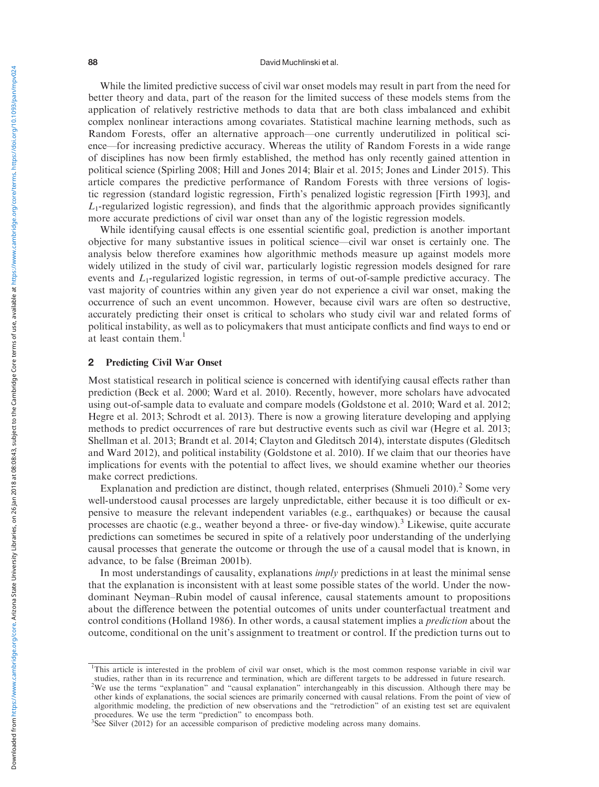#### 88 **David Muchlinski et al.**

While the limited predictive success of civil war onset models may result in part from the need for better theory and data, part of the reason for the limited success of these models stems from the application of relatively restrictive methods to data that are both class imbalanced and exhibit complex nonlinear interactions among covariates. Statistical machine learning methods, such as Random Forests, offer an alternative approach—one currently underutilized in political science—for increasing predictive accuracy. Whereas the utility of Random Forests in a wide range of disciplines has now been firmly established, the method has only recently gained attention in political science [\(Spirling 2008;](#page-16-0) [Hill and Jones 2014;](#page-15-0) [Blair et al. 2015](#page-14-0); [Jones and Linder 2015](#page-15-0)). This article compares the predictive performance of Random Forests with three versions of logistic regression (standard logistic regression, Firth's penalized logistic regression [\[Firth 1993](#page-15-0)], and  $L_1$ -regularized logistic regression), and finds that the algorithmic approach provides significantly more accurate predictions of civil war onset than any of the logistic regression models.

While identifying causal effects is one essential scientific goal, prediction is another important objective for many substantive issues in political science—civil war onset is certainly one. The analysis below therefore examines how algorithmic methods measure up against models more widely utilized in the study of civil war, particularly logistic regression models designed for rare events and  $L_1$ -regularized logistic regression, in terms of out-of-sample predictive accuracy. The vast majority of countries within any given year do not experience a civil war onset, making the occurrence of such an event uncommon. However, because civil wars are often so destructive, accurately predicting their onset is critical to scholars who study civil war and related forms of political instability, as well as to policymakers that must anticipate conflicts and find ways to end or at least contain them.<sup>1</sup>

## 2 Predicting Civil War Onset

Most statistical research in political science is concerned with identifying causal effects rather than prediction ([Beck et al. 2000](#page-14-0); [Ward et al. 2010\)](#page-16-0). Recently, however, more scholars have advocated using out-of-sample data to evaluate and compare models [\(Goldstone et al. 2010;](#page-15-0) [Ward et al. 2012;](#page-16-0) [Hegre et al. 2013;](#page-15-0) [Schrodt et al. 2013](#page-16-0)). There is now a growing literature developing and applying methods to predict occurrences of rare but destructive events such as civil war [\(Hegre et al. 2013;](#page-15-0) [Shellman et al. 2013;](#page-16-0) [Brandt et al. 2014;](#page-14-0) [Clayton and Gleditsch 2014](#page-15-0)), interstate disputes [\(Gleditsch](#page-15-0) [and Ward 2012](#page-15-0)), and political instability ([Goldstone et al. 2010](#page-15-0)). If we claim that our theories have implications for events with the potential to affect lives, we should examine whether our theories make correct predictions.

Explanation and prediction are distinct, though related, enterprises ([Shmueli 2010](#page-16-0)).<sup>2</sup> Some very well-understood causal processes are largely unpredictable, either because it is too difficult or expensive to measure the relevant independent variables (e.g., earthquakes) or because the causal processes are chaotic (e.g., weather beyond a three- or five-day window).<sup>3</sup> Likewise, quite accurate predictions can sometimes be secured in spite of a relatively poor understanding of the underlying causal processes that generate the outcome or through the use of a causal model that is known, in advance, to be false [\(Breiman 2001b](#page-14-0)).

In most understandings of causality, explanations *imply* predictions in at least the minimal sense that the explanation is inconsistent with at least some possible states of the world. Under the nowdominant Neyman–Rubin model of causal inference, causal statements amount to propositions about the difference between the potential outcomes of units under counterfactual treatment and control conditions ([Holland 1986](#page-15-0)). In other words, a causal statement implies a *prediction* about the outcome, conditional on the unit's assignment to treatment or control. If the prediction turns out to

<sup>&</sup>lt;sup>1</sup>This article is interested in the problem of civil war onset, which is the most common response variable in civil war studies, rather than in its recurrence and termination, which are different targets to be addressed in future research.

<sup>&</sup>lt;sup>2</sup>We use the terms "explanation" and "causal explanation" interchangeably in this discussion. Although there may be other kinds of explanations, the social sciences are primarily concerned with causal relations. From the point of view of algorithmic modeling, the prediction of new observations and the "retrodiction" of an existing test set are equivalent procedures. We use the term "prediction" to encompass both.

<sup>&</sup>lt;sup>3</sup>See Silver (2012) for an accessible comparison of predictive modeling across many domains.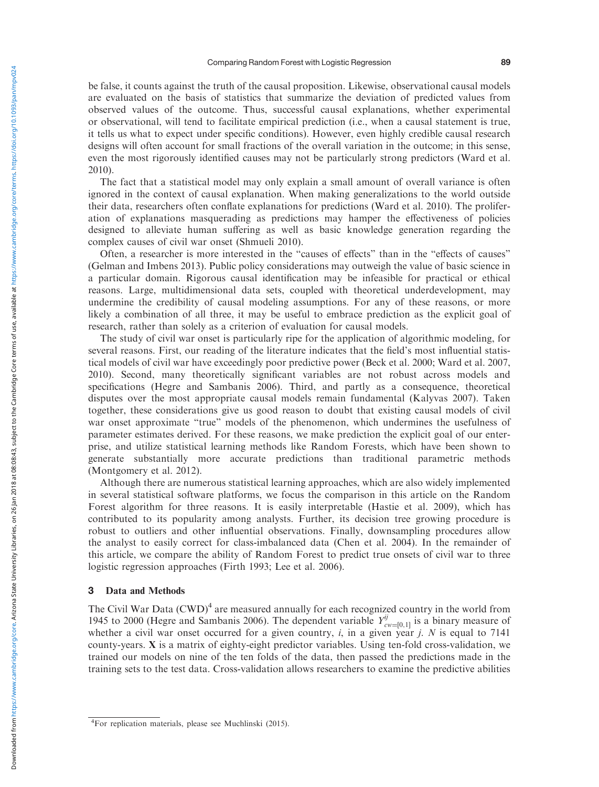be false, it counts against the truth of the causal proposition. Likewise, observational causal models are evaluated on the basis of statistics that summarize the deviation of predicted values from observed values of the outcome. Thus, successful causal explanations, whether experimental or observational, will tend to facilitate empirical prediction (i.e., when a causal statement is true, it tells us what to expect under specific conditions). However, even highly credible causal research designs will often account for small fractions of the overall variation in the outcome; in this sense, even the most rigorously identified causes may not be particularly strong predictors [\(Ward et al.](#page-16-0) [2010\)](#page-16-0).

The fact that a statistical model may only explain a small amount of overall variance is often ignored in the context of causal explanation. When making generalizations to the world outside their data, researchers often conflate explanations for predictions ([Ward et al. 2010\)](#page-16-0). The proliferation of explanations masquerading as predictions may hamper the effectiveness of policies designed to alleviate human suffering as well as basic knowledge generation regarding the complex causes of civil war onset [\(Shmueli 2010\)](#page-16-0).

Often, a researcher is more interested in the "causes of effects" than in the "effects of causes" ([Gelman and Imbens 2013\)](#page-15-0). Public policy considerations may outweigh the value of basic science in a particular domain. Rigorous causal identification may be infeasible for practical or ethical reasons. Large, multidimensional data sets, coupled with theoretical underdevelopment, may undermine the credibility of causal modeling assumptions. For any of these reasons, or more likely a combination of all three, it may be useful to embrace prediction as the explicit goal of research, rather than solely as a criterion of evaluation for causal models.

The study of civil war onset is particularly ripe for the application of algorithmic modeling, for several reasons. First, our reading of the literature indicates that the field's most influential statistical models of civil war have exceedingly poor predictive power ([Beck et al. 2000;](#page-14-0) [Ward et al. 2007,](#page-16-0) [2010\)](#page-16-0). Second, many theoretically significant variables are not robust across models and specifications ([Hegre and Sambanis 2006](#page-15-0)). Third, and partly as a consequence, theoretical disputes over the most appropriate causal models remain fundamental ([Kalyvas 2007\)](#page-15-0). Taken together, these considerations give us good reason to doubt that existing causal models of civil war onset approximate "true" models of the phenomenon, which undermines the usefulness of parameter estimates derived. For these reasons, we make prediction the explicit goal of our enterprise, and utilize statistical learning methods like Random Forests, which have been shown to generate substantially more accurate predictions than traditional parametric methods ([Montgomery et al. 2012\)](#page-16-0).

Although there are numerous statistical learning approaches, which are also widely implemented in several statistical software platforms, we focus the comparison in this article on the Random Forest algorithm for three reasons. It is easily interpretable [\(Hastie et al. 2009](#page-15-0)), which has contributed to its popularity among analysts. Further, its decision tree growing procedure is robust to outliers and other influential observations. Finally, downsampling procedures allow the analyst to easily correct for class-imbalanced data [\(Chen et al. 2004](#page-15-0)). In the remainder of this article, we compare the ability of Random Forest to predict true onsets of civil war to three logistic regression approaches [\(Firth 1993](#page-15-0); [Lee et al. 2006\)](#page-15-0).

#### 3 Data and Methods

The Civil War Data  $(CWD)^4$  are measured annually for each recognized country in the world from 1945 to 2000 [\(Hegre and Sambanis 2006\)](#page-15-0). The dependent variable  $Y_{cw=[0,1]}^{ij}$  is a binary measure of whether a civil war onset occurred for a given country,  $i$ , in a given year  $j$ . N is equal to 7141 county-years. X is a matrix of eighty-eight predictor variables. Using ten-fold cross-validation, we trained our models on nine of the ten folds of the data, then passed the predictions made in the training sets to the test data. Cross-validation allows researchers to examine the predictive abilities

<sup>4</sup> For replication materials, please see [Muchlinski \(2015\).](#page-16-0)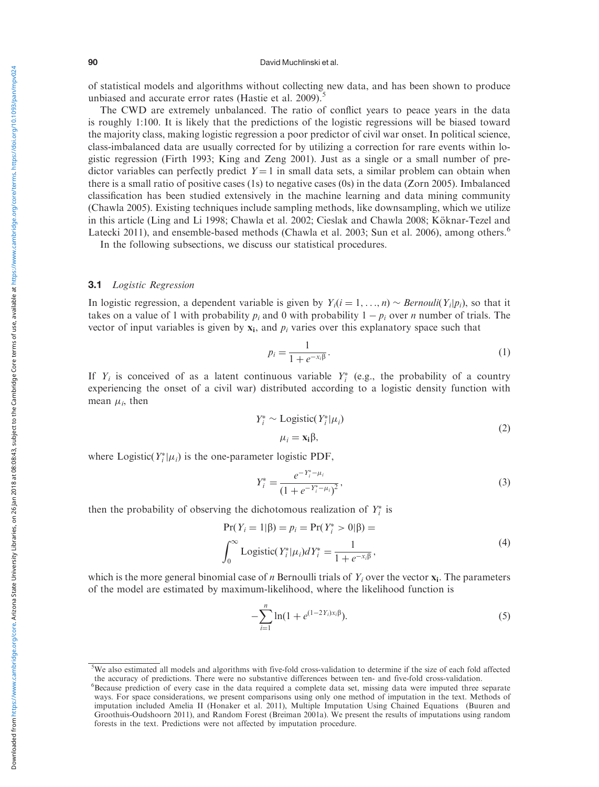#### 90 David Muchlinski et al.

of statistical models and algorithms without collecting new data, and has been shown to produce unbiased and accurate error rates ([Hastie et al. 2009](#page-15-0)).<sup>5</sup>

The CWD are extremely unbalanced. The ratio of conflict years to peace years in the data is roughly 1:100. It is likely that the predictions of the logistic regressions will be biased toward the majority class, making logistic regression a poor predictor of civil war onset. In political science, class-imbalanced data are usually corrected for by utilizing a correction for rare events within logistic regression [\(Firth 1993](#page-15-0); [King and Zeng 2001\)](#page-15-0). Just as a single or a small number of predictor variables can perfectly predict  $Y = 1$  in small data sets, a similar problem can obtain when there is a small ratio of positive cases (1s) to negative cases (0s) in the data [\(Zorn 2005](#page-16-0)). Imbalanced classification has been studied extensively in the machine learning and data mining community ([Chawla 2005\)](#page-14-0). Existing techniques include sampling methods, like downsampling, which we utilize in this article ([Ling and Li 1998;](#page-15-0) [Chawla et al. 2002](#page-14-0); Cieslak and Chawla 2008; Köknar-Tezel and [Latecki 2011\)](#page-15-0), and ensemble-based methods [\(Chawla et al. 2003](#page-15-0); [Sun et al. 2006](#page-16-0)), among others.<sup>6</sup>

In the following subsections, we discuss our statistical procedures.

#### 3.1 Logistic Regression

In logistic regression, a dependent variable is given by  $Y_i(i = 1, \ldots, n) \sim Bernouli(Y_i|p_i)$ , so that it takes on a value of 1 with probability  $p_i$  and 0 with probability  $1 - p_i$  over *n* number of trials. The vector of input variables is given by  $x_i$ , and  $p_i$  varies over this explanatory space such that

$$
p_i = \frac{1}{1 + e^{-x_i \beta}}.\tag{1}
$$

If  $Y_i$  is conceived of as a latent continuous variable  $Y_i^*$  (e.g., the probability of a country experiencing the onset of a civil war) distributed according to a logistic density function with mean  $\mu_i$ , then

$$
Y_i^* \sim \text{Logistic}(Y_i^* | \mu_i)
$$
  

$$
\mu_i = \mathbf{x}_i \beta,
$$
 (2)

where Logistic( $Y_i^* | \mu_i$ ) is the one-parameter logistic PDF,

$$
Y_i^* = \frac{e^{-Y_i^* - \mu_i}}{(1 + e^{-Y_i^* - \mu_i})^2},\tag{3}
$$

then the probability of observing the dichotomous realization of  $Y_i^*$  is

$$
Pr(Y_i = 1|\beta) = p_i = Pr(Y_i^* > 0|\beta) =
$$
  

$$
\int_0^\infty Logistic(Y_i^*|\mu_i)dY_i^* = \frac{1}{1 + e^{-x_i\beta}},
$$
 (4)

which is the more general binomial case of n Bernoulli trials of  $Y_i$  over the vector  $\mathbf{x}_i$ . The parameters of the model are estimated by maximum-likelihood, where the likelihood function is

$$
-\sum_{i=1}^{n}\ln(1+e^{(1-2Y_i)x_i\beta}).
$$
\n(5)

 $5$ We also estimated all models and algorithms with five-fold cross-validation to determine if the size of each fold affected the accuracy of predictions. There were no substantive differences between ten- and five-fold cross-validation.

<sup>&</sup>lt;sup>6</sup>Because prediction of every case in the data required a complete data set, missing data were imputed three separate ways. For space considerations, we present comparisons using only one method of imputation in the text. Methods of imputation included Amelia II ([Honaker et al. 2011\)](#page-15-0), Multiple Imputation Using Chained Equations ([Buuren and](#page-14-0) [Groothuis-Oudshoorn 2011\)](#page-14-0), and Random Forest ([Breiman 2001a\)](#page-14-0). We present the results of imputations using random forests in the text. Predictions were not affected by imputation procedure.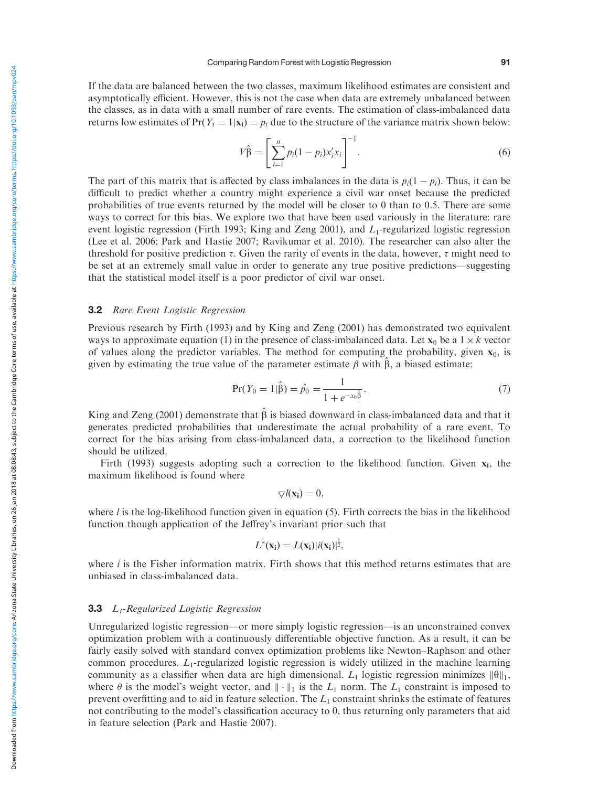If the data are balanced between the two classes, maximum likelihood estimates are consistent and asymptotically efficient. However, this is not the case when data are extremely unbalanced between the classes, as in data with a small number of rare events. The estimation of class-imbalanced data returns low estimates of  $Pr(Y_i = 1|\mathbf{x_i}) = p_i$  due to the structure of the variance matrix shown below:

$$
V\hat{\beta} = \left[\sum_{i=1}^{n} p_i (1 - p_i) x'_i x_i\right]^{-1}.
$$
 (6)

The part of this matrix that is affected by class imbalances in the data is  $p_i(1 - p_i)$ . Thus, it can be difficult to predict whether a country might experience a civil war onset because the predicted probabilities of true events returned by the model will be closer to 0 than to 0.5. There are some ways to correct for this bias. We explore two that have been used variously in the literature: rare event logistic regression ([Firth 1993](#page-15-0); [King and Zeng 2001\)](#page-15-0), and  $L_1$ -regularized logistic regression ([Lee et al. 2006;](#page-15-0) [Park and Hastie 2007](#page-16-0); [Ravikumar et al. 2010](#page-16-0)). The researcher can also alter the threshold for positive prediction  $\tau$ . Given the rarity of events in the data, however,  $\tau$  might need to be set at an extremely small value in order to generate any true positive predictions—suggesting that the statistical model itself is a poor predictor of civil war onset.

# 3.2 Rare Event Logistic Regression

Previous research by [Firth \(1993\)](#page-15-0) and by [King and Zeng \(2001\)](#page-15-0) has demonstrated two equivalent ways to approximate equation (1) in the presence of class-imbalanced data. Let  $x_0$  be a  $1 \times k$  vector of values along the predictor variables. The method for computing the probability, given  $x_0$ , is given by estimating the true value of the parameter estimate  $\beta$  with  $\hat{\beta}$ , a biased estimate:

$$
Pr(Y_0 = 1|\hat{\beta}) = \hat{p}_0 = \frac{1}{1 + e^{-x_0\hat{\beta}}}.
$$
\n(7)

[King and Zeng \(2001\)](#page-15-0) demonstrate that  $\hat{\beta}$  is biased downward in class-imbalanced data and that it generates predicted probabilities that underestimate the actual probability of a rare event. To correct for the bias arising from class-imbalanced data, a correction to the likelihood function should be utilized.

[Firth \(1993\)](#page-15-0) suggests adopting such a correction to the likelihood function. Given  $x_i$ , the maximum likelihood is found where

$$
\nabla l(\mathbf{x_i})=0,
$$

where  $l$  is the log-likelihood function given in equation (5). Firth corrects the bias in the likelihood function though application of the Jeffrey's invariant prior such that

$$
L^*(\mathbf{x_i})=L(\mathbf{x_i})|i(\mathbf{x_i})|^{\frac{1}{2}},
$$

where  $i$  is the Fisher information matrix. Firth shows that this method returns estimates that are unbiased in class-imbalanced data.

#### **3.3**  $L_1$ -Regularized Logistic Regression

Unregularized logistic regression—or more simply logistic regression—is an unconstrained convex optimization problem with a continuously differentiable objective function. As a result, it can be fairly easily solved with standard convex optimization problems like Newton–Raphson and other common procedures.  $L_1$ -regularized logistic regression is widely utilized in the machine learning community as a classifier when data are high dimensional.  $L_1$  logistic regression minimizes  $\|\theta\|_1$ , where  $\theta$  is the model's weight vector, and  $\|\cdot\|_1$  is the  $L_1$  norm. The  $L_1$  constraint is imposed to prevent overfitting and to aid in feature selection. The  $L_1$  constraint shrinks the estimate of features not contributing to the model's classification accuracy to 0, thus returning only parameters that aid in feature selection [\(Park and Hastie 2007](#page-16-0)).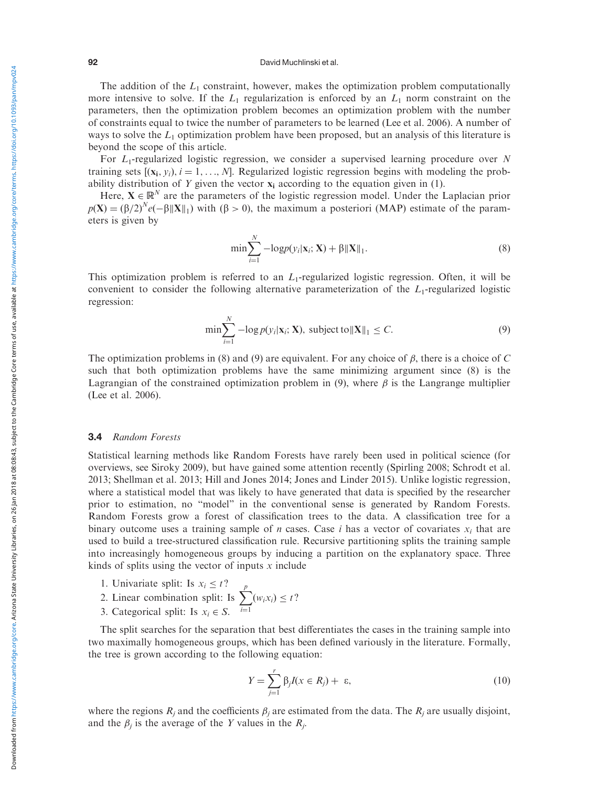The addition of the  $L_1$  constraint, however, makes the optimization problem computationally more intensive to solve. If the  $L_1$  regularization is enforced by an  $L_1$  norm constraint on the parameters, then the optimization problem becomes an optimization problem with the number of constraints equal to twice the number of parameters to be learned [\(Lee et al. 2006](#page-15-0)). A number of ways to solve the  $L_1$  optimization problem have been proposed, but an analysis of this literature is beyond the scope of this article.

For  $L_1$ -regularized logistic regression, we consider a supervised learning procedure over N training sets  $[(x_i, y_i), i = 1, ..., N]$ . Regularized logistic regression begins with modeling the probability distribution of Y given the vector  $x_i$  according to the equation given in (1).

Here,  $X \in \mathbb{R}^N$  are the parameters of the logistic regression model. Under the Laplacian prior  $p(X) = (\beta/2)^N e(-\beta ||X||_1)$  with  $(\beta > 0)$ , the maximum a posteriori (MAP) estimate of the parameters is given by

$$
\min \sum_{i=1}^{N} -\log p(y_i|\mathbf{x}_i; \mathbf{X}) + \beta \|\mathbf{X}\|_1.
$$
 (8)

This optimization problem is referred to an  $L_1$ -regularized logistic regression. Often, it will be convenient to consider the following alternative parameterization of the  $L_1$ -regularized logistic regression:

$$
\min \sum_{i=1}^{N} -\log p(y_i|\mathbf{x}_i; \mathbf{X}), \text{ subject to } ||\mathbf{X}||_1 \le C. \tag{9}
$$

The optimization problems in (8) and (9) are equivalent. For any choice of  $\beta$ , there is a choice of C such that both optimization problems have the same minimizing argument since (8) is the Lagrangian of the constrained optimization problem in (9), where  $\beta$  is the Langrange multiplier ([Lee et al. 2006](#page-15-0)).

## 3.4 Random Forests

Statistical learning methods like Random Forests have rarely been used in political science (for overviews, see [Siroky 2009\)](#page-16-0), but have gained some attention recently ([Spirling 2008](#page-16-0); [Schrodt et al.](#page-16-0) [2013; Shellman et al. 2013](#page-16-0); [Hill and Jones 2014; Jones and Linder 2015](#page-15-0)). Unlike logistic regression, where a statistical model that was likely to have generated that data is specified by the researcher prior to estimation, no "model" in the conventional sense is generated by Random Forests. Random Forests grow a forest of classification trees to the data. A classification tree for a binary outcome uses a training sample of *n* cases. Case *i* has a vector of covariates  $x_i$  that are used to build a tree-structured classification rule. Recursive partitioning splits the training sample into increasingly homogeneous groups by inducing a partition on the explanatory space. Three kinds of splits using the vector of inputs  $x$  include

- 
- 1. Univariate split: Is  $x_i \le t$ ?<br>2. Linear combination split: Is  $\sum_{i=1}^{p} x_i^2$  $(w_i x_i) \leq t$ ?
- $i=1$ 3. Categorical split: Is  $x_i \in S$ .

The split searches for the separation that best differentiates the cases in the training sample into two maximally homogeneous groups, which has been defined variously in the literature. Formally, the tree is grown according to the following equation:

$$
Y = \sum_{j=1}^{r} \beta_j I(x \in R_j) + \varepsilon,\tag{10}
$$

where the regions  $R_i$  and the coefficients  $\beta_i$  are estimated from the data. The  $R_i$  are usually disjoint, and the  $\beta_i$  is the average of the Y values in the  $R_i$ .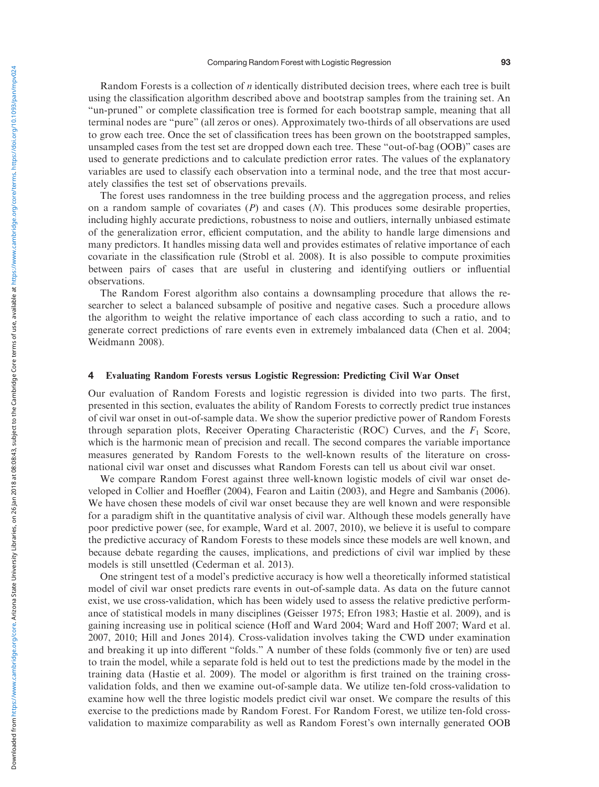Random Forests is a collection of  $n$  identically distributed decision trees, where each tree is built using the classification algorithm described above and bootstrap samples from the training set. An "un-pruned" or complete classification tree is formed for each bootstrap sample, meaning that all terminal nodes are "pure" (all zeros or ones). Approximately two-thirds of all observations are used to grow each tree. Once the set of classification trees has been grown on the bootstrapped samples, unsampled cases from the test set are dropped down each tree. These "out-of-bag (OOB)" cases are used to generate predictions and to calculate prediction error rates. The values of the explanatory variables are used to classify each observation into a terminal node, and the tree that most accurately classifies the test set of observations prevails.

The forest uses randomness in the tree building process and the aggregation process, and relies on a random sample of covariates  $(P)$  and cases  $(N)$ . This produces some desirable properties, including highly accurate predictions, robustness to noise and outliers, internally unbiased estimate of the generalization error, efficient computation, and the ability to handle large dimensions and many predictors. It handles missing data well and provides estimates of relative importance of each covariate in the classification rule [\(Strobl et al. 2008\)](#page-16-0). It is also possible to compute proximities between pairs of cases that are useful in clustering and identifying outliers or influential observations.

The Random Forest algorithm also contains a downsampling procedure that allows the researcher to select a balanced subsample of positive and negative cases. Such a procedure allows the algorithm to weight the relative importance of each class according to such a ratio, and to generate correct predictions of rare events even in extremely imbalanced data [\(Chen et al. 2004;](#page-15-0) [Weidmann 2008](#page-16-0)).

# 4 Evaluating Random Forests versus Logistic Regression: Predicting Civil War Onset

Our evaluation of Random Forests and logistic regression is divided into two parts. The first, presented in this section, evaluates the ability of Random Forests to correctly predict true instances of civil war onset in out-of-sample data. We show the superior predictive power of Random Forests through separation plots, Receiver Operating Characteristic (ROC) Curves, and the  $F_1$  Score, which is the harmonic mean of precision and recall. The second compares the variable importance measures generated by Random Forests to the well-known results of the literature on crossnational civil war onset and discusses what Random Forests can tell us about civil war onset.

We compare Random Forest against three well-known logistic models of civil war onset developed in [Collier and Hoeffler \(2004\)](#page-15-0), [Fearon and Laitin \(2003\)](#page-15-0), and [Hegre and Sambanis \(2006\).](#page-15-0) We have chosen these models of civil war onset because they are well known and were responsible for a paradigm shift in the quantitative analysis of civil war. Although these models generally have poor predictive power (see, for example, Ward et al. [2007, 2010](#page-16-0)), we believe it is useful to compare the predictive accuracy of Random Forests to these models since these models are well known, and because debate regarding the causes, implications, and predictions of civil war implied by these models is still unsettled ([Cederman et al. 2013](#page-14-0)).

One stringent test of a model's predictive accuracy is how well a theoretically informed statistical model of civil war onset predicts rare events in out-of-sample data. As data on the future cannot exist, we use cross-validation, which has been widely used to assess the relative predictive performance of statistical models in many disciplines ([Geisser 1975; Efron 1983](#page-15-0); [Hastie et al. 2009](#page-15-0)), and is gaining increasing use in political science [\(Hoff and Ward 2004;](#page-15-0) [Ward and Hoff 2007](#page-16-0); [Ward et al.](#page-16-0) [2007, 2010;](#page-16-0) [Hill and Jones 2014\)](#page-15-0). Cross-validation involves taking the CWD under examination and breaking it up into different "folds." A number of these folds (commonly five or ten) are used to train the model, while a separate fold is held out to test the predictions made by the model in the training data [\(Hastie et al. 2009\)](#page-15-0). The model or algorithm is first trained on the training crossvalidation folds, and then we examine out-of-sample data. We utilize ten-fold cross-validation to examine how well the three logistic models predict civil war onset. We compare the results of this exercise to the predictions made by Random Forest. For Random Forest, we utilize ten-fold crossvalidation to maximize comparability as well as Random Forest's own internally generated OOB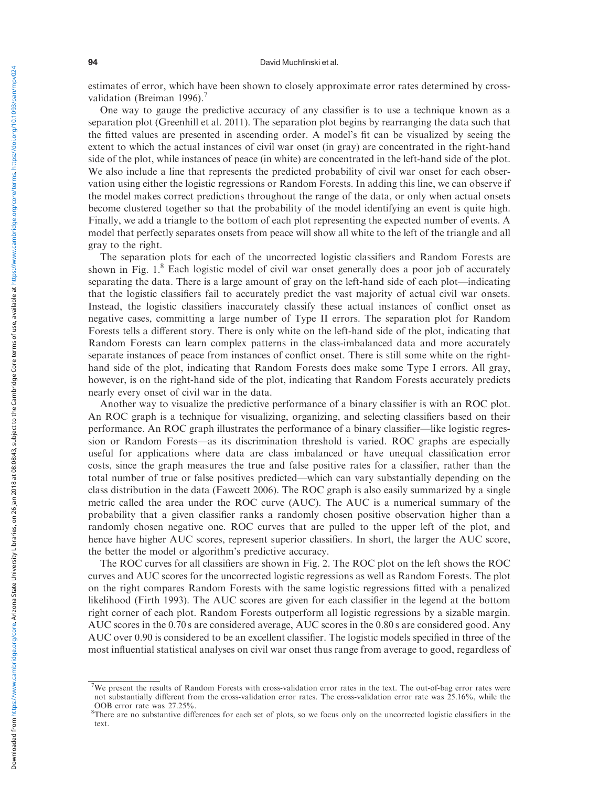estimates of error, which have been shown to closely approximate error rates determined by cross-validation [\(Breiman 1996\)](#page-14-0).<sup>7</sup>

One way to gauge the predictive accuracy of any classifier is to use a technique known as a separation plot ([Greenhill et al. 2011](#page-15-0)). The separation plot begins by rearranging the data such that the fitted values are presented in ascending order. A model's fit can be visualized by seeing the extent to which the actual instances of civil war onset (in gray) are concentrated in the right-hand side of the plot, while instances of peace (in white) are concentrated in the left-hand side of the plot. We also include a line that represents the predicted probability of civil war onset for each observation using either the logistic regressions or Random Forests. In adding this line, we can observe if the model makes correct predictions throughout the range of the data, or only when actual onsets become clustered together so that the probability of the model identifying an event is quite high. Finally, we add a triangle to the bottom of each plot representing the expected number of events. A model that perfectly separates onsets from peace will show all white to the left of the triangle and all gray to the right.

The separation plots for each of the uncorrected logistic classifiers and Random Forests are shown in Fig.  $1<sup>8</sup>$  Each logistic model of civil war onset generally does a poor job of accurately separating the data. There is a large amount of gray on the left-hand side of each plot—indicating that the logistic classifiers fail to accurately predict the vast majority of actual civil war onsets. Instead, the logistic classifiers inaccurately classify these actual instances of conflict onset as negative cases, committing a large number of Type II errors. The separation plot for Random Forests tells a different story. There is only white on the left-hand side of the plot, indicating that Random Forests can learn complex patterns in the class-imbalanced data and more accurately separate instances of peace from instances of conflict onset. There is still some white on the righthand side of the plot, indicating that Random Forests does make some Type I errors. All gray, however, is on the right-hand side of the plot, indicating that Random Forests accurately predicts nearly every onset of civil war in the data.

Another way to visualize the predictive performance of a binary classifier is with an ROC plot. An ROC graph is a technique for visualizing, organizing, and selecting classifiers based on their performance. An ROC graph illustrates the performance of a binary classifier—like logistic regression or Random Forests—as its discrimination threshold is varied. ROC graphs are especially useful for applications where data are class imbalanced or have unequal classification error costs, since the graph measures the true and false positive rates for a classifier, rather than the total number of true or false positives predicted—which can vary substantially depending on the class distribution in the data ([Fawcett 2006\)](#page-15-0). The ROC graph is also easily summarized by a single metric called the area under the ROC curve (AUC). The AUC is a numerical summary of the probability that a given classifier ranks a randomly chosen positive observation higher than a randomly chosen negative one. ROC curves that are pulled to the upper left of the plot, and hence have higher AUC scores, represent superior classifiers. In short, the larger the AUC score, the better the model or algorithm's predictive accuracy.

The ROC curves for all classifiers are shown in [Fig. 2.](#page-9-0) The ROC plot on the left shows the ROC curves and AUC scores for the uncorrected logistic regressions as well as Random Forests. The plot on the right compares Random Forests with the same logistic regressions fitted with a penalized likelihood [\(Firth 1993](#page-15-0)). The AUC scores are given for each classifier in the legend at the bottom right corner of each plot. Random Forests outperform all logistic regressions by a sizable margin. AUC scores in the 0.70 s are considered average, AUC scores in the 0.80 s are considered good. Any AUC over 0.90 is considered to be an excellent classifier. The logistic models specified in three of the most influential statistical analyses on civil war onset thus range from average to good, regardless of

<sup>7</sup> We present the results of Random Forests with cross-validation error rates in the text. The out-of-bag error rates were not substantially different from the cross-validation error rates. The cross-validation error rate was 25.16%, while the OOB error rate was 27.25%.

<sup>&</sup>lt;sup>8</sup>There are no substantive differences for each set of plots, so we focus only on the uncorrected logistic classifiers in the text.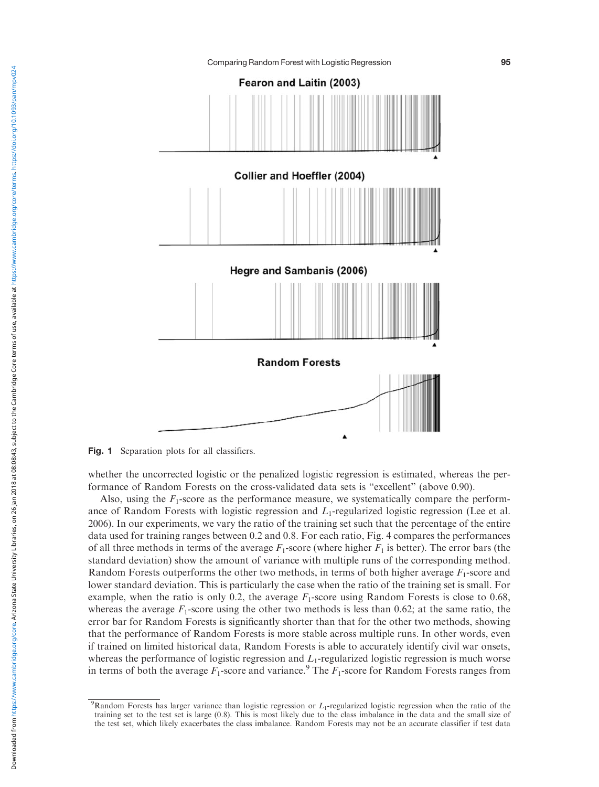<span id="page-8-0"></span>

Comparing Random Forest with Logistic Regression 95

Fig. 1 Separation plots for all classifiers.

whether the uncorrected logistic or the penalized logistic regression is estimated, whereas the performance of Random Forests on the cross-validated data sets is "excellent" (above 0.90).

Also, using the  $F_1$ -score as the performance measure, we systematically compare the performance of Random Forests with logistic regression and  $L_1$ -regularized logistic regression [\(Lee et al.](#page-15-0) [2006\)](#page-15-0). In our experiments, we vary the ratio of the training set such that the percentage of the entire data used for training ranges between 0.2 and 0.8. For each ratio, [Fig. 4](#page-12-0) compares the performances of all three methods in terms of the average  $F_1$ -score (where higher  $F_1$  is better). The error bars (the standard deviation) show the amount of variance with multiple runs of the corresponding method. Random Forests outperforms the other two methods, in terms of both higher average  $F_1$ -score and lower standard deviation. This is particularly the case when the ratio of the training set is small. For example, when the ratio is only 0.2, the average  $F_1$ -score using Random Forests is close to 0.68, whereas the average  $F_1$ -score using the other two methods is less than 0.62; at the same ratio, the error bar for Random Forests is significantly shorter than that for the other two methods, showing that the performance of Random Forests is more stable across multiple runs. In other words, even if trained on limited historical data, Random Forests is able to accurately identify civil war onsets, whereas the performance of logistic regression and  $L_1$ -regularized logistic regression is much worse in terms of both the average  $F_1$ -score and variance.<sup>9</sup> The  $F_1$ -score for Random Forests ranges from

 $9$ Random Forests has larger variance than logistic regression or  $L_1$ -regularized logistic regression when the ratio of the training set to the test set is large (0.8). This is most likely due to the class imbalance in the data and the small size of the test set, which likely exacerbates the class imbalance. Random Forests may not be an accurate classifier if test data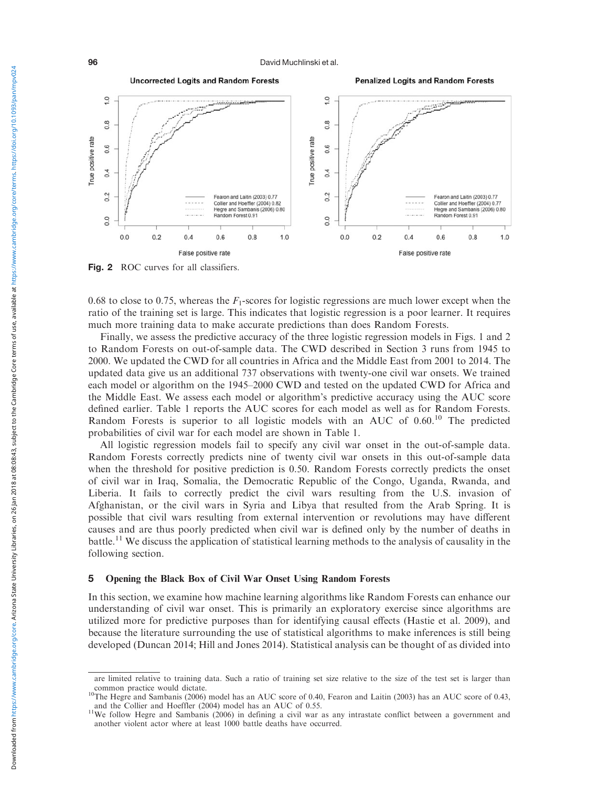<span id="page-9-0"></span>

Fig. 2 ROC curves for all classifiers.

0.68 to close to 0.75, whereas the  $F_1$ -scores for logistic regressions are much lower except when the ratio of the training set is large. This indicates that logistic regression is a poor learner. It requires much more training data to make accurate predictions than does Random Forests.

Finally, we assess the predictive accuracy of the three logistic regression models in [Figs. 1](#page-8-0) and 2 to Random Forests on out-of-sample data. The CWD described in Section 3 runs from 1945 to 2000. We updated the CWD for all countries in Africa and the Middle East from 2001 to 2014. The updated data give us an additional 737 observations with twenty-one civil war onsets. We trained each model or algorithm on the 1945–2000 CWD and tested on the updated CWD for Africa and the Middle East. We assess each model or algorithm's predictive accuracy using the AUC score defined earlier. [Table 1](#page-11-0) reports the AUC scores for each model as well as for Random Forests. Random Forests is superior to all logistic models with an AUC of 0.60.<sup>10</sup> The predicted probabilities of civil war for each model are shown in [Table 1.](#page-11-0)

All logistic regression models fail to specify any civil war onset in the out-of-sample data. Random Forests correctly predicts nine of twenty civil war onsets in this out-of-sample data when the threshold for positive prediction is 0.50. Random Forests correctly predicts the onset of civil war in Iraq, Somalia, the Democratic Republic of the Congo, Uganda, Rwanda, and Liberia. It fails to correctly predict the civil wars resulting from the U.S. invasion of Afghanistan, or the civil wars in Syria and Libya that resulted from the Arab Spring. It is possible that civil wars resulting from external intervention or revolutions may have different causes and are thus poorly predicted when civil war is defined only by the number of deaths in battle.<sup>11</sup> We discuss the application of statistical learning methods to the analysis of causality in the following section.

# 5 Opening the Black Box of Civil War Onset Using Random Forests

In this section, we examine how machine learning algorithms like Random Forests can enhance our understanding of civil war onset. This is primarily an exploratory exercise since algorithms are utilized more for predictive purposes than for identifying causal effects ([Hastie et al. 2009\)](#page-15-0), and because the literature surrounding the use of statistical algorithms to make inferences is still being developed [\(Duncan 2014; Hill and Jones 2014\)](#page-15-0). Statistical analysis can be thought of as divided into

are limited relative to training data. Such a ratio of training set size relative to the size of the test set is larger than common practice would dictate.

<sup>&</sup>lt;sup>10</sup>The [Hegre and Sambanis \(2006\)](#page-15-0) model has an AUC score of 0.40, [Fearon and Laitin \(2003\)](#page-15-0) has an AUC score of 0.43, and the Collier and Hoeffler (2004) model has an AUC of 0.55.

 $11$ We follow [Hegre and Sambanis \(2006\)](#page-15-0) in defining a civil war as any intrastate conflict between a government and another violent actor where at least 1000 battle deaths have occurred.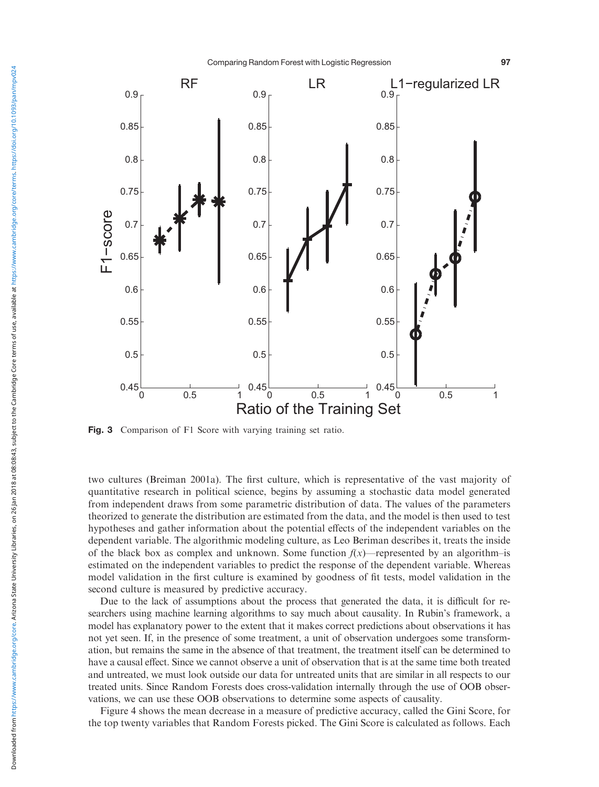

Fig. 3 Comparison of F1 Score with varying training set ratio.

two cultures ([Breiman 2001a](#page-14-0)). The first culture, which is representative of the vast majority of quantitative research in political science, begins by assuming a stochastic data model generated from independent draws from some parametric distribution of data. The values of the parameters theorized to generate the distribution are estimated from the data, and the model is then used to test hypotheses and gather information about the potential effects of the independent variables on the dependent variable. The algorithmic modeling culture, as Leo Beriman describes it, treats the inside of the black box as complex and unknown. Some function  $f(x)$ —represented by an algorithm–is estimated on the independent variables to predict the response of the dependent variable. Whereas model validation in the first culture is examined by goodness of fit tests, model validation in the second culture is measured by predictive accuracy.

Due to the lack of assumptions about the process that generated the data, it is difficult for researchers using machine learning algorithms to say much about causality. In Rubin's framework, a model has explanatory power to the extent that it makes correct predictions about observations it has not yet seen. If, in the presence of some treatment, a unit of observation undergoes some transformation, but remains the same in the absence of that treatment, the treatment itself can be determined to have a causal effect. Since we cannot observe a unit of observation that is at the same time both treated and untreated, we must look outside our data for untreated units that are similar in all respects to our treated units. Since Random Forests does cross-validation internally through the use of OOB observations, we can use these OOB observations to determine some aspects of causality.

[Figure 4](#page-12-0) shows the mean decrease in a measure of predictive accuracy, called the Gini Score, for the top twenty variables that Random Forests picked. The Gini Score is calculated as follows. Each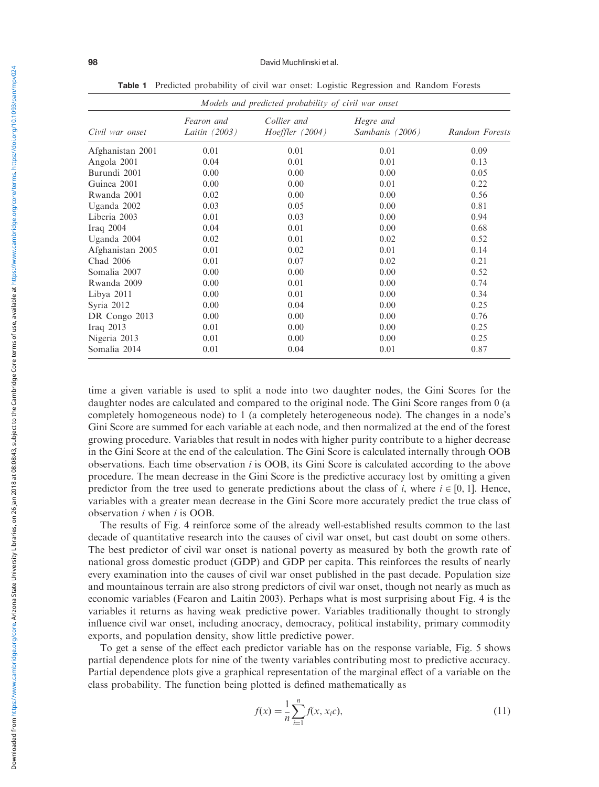<span id="page-11-0"></span>

| Models and predicted probability of civil war onset |                             |                                  |                              |                |
|-----------------------------------------------------|-----------------------------|----------------------------------|------------------------------|----------------|
| Civil war onset                                     | Fearon and<br>Laitin (2003) | Collier and<br>Hoeffler $(2004)$ | Hegre and<br>Sambanis (2006) | Random Forests |
| Afghanistan 2001                                    | 0.01                        | 0.01                             | 0.01                         | 0.09           |
| Angola 2001                                         | 0.04                        | 0.01                             | 0.01                         | 0.13           |
| Burundi 2001                                        | 0.00                        | 0.00                             | 0.00                         | 0.05           |
| Guinea 2001                                         | 0.00                        | 0.00                             | 0.01                         | 0.22           |
| Rwanda 2001                                         | 0.02                        | 0.00                             | 0.00                         | 0.56           |
| Uganda 2002                                         | 0.03                        | 0.05                             | 0.00                         | 0.81           |
| Liberia 2003                                        | 0.01                        | 0.03                             | 0.00                         | 0.94           |
| Iraq $2004$                                         | 0.04                        | 0.01                             | 0.00                         | 0.68           |
| Uganda 2004                                         | 0.02                        | 0.01                             | 0.02                         | 0.52           |
| Afghanistan 2005                                    | 0.01                        | 0.02                             | 0.01                         | 0.14           |
| <b>Chad 2006</b>                                    | 0.01                        | 0.07                             | 0.02                         | 0.21           |
| Somalia 2007                                        | 0.00                        | 0.00                             | 0.00                         | 0.52           |
| Rwanda 2009                                         | 0.00                        | 0.01                             | 0.00                         | 0.74           |
| Libya 2011                                          | 0.00                        | 0.01                             | 0.00                         | 0.34           |
| Syria 2012                                          | 0.00                        | 0.04                             | 0.00                         | 0.25           |
| DR Congo 2013                                       | 0.00                        | 0.00                             | 0.00                         | 0.76           |
| Iraq 2013                                           | 0.01                        | 0.00                             | 0.00                         | 0.25           |
| Nigeria 2013                                        | 0.01                        | 0.00                             | 0.00                         | 0.25           |
| Somalia 2014                                        | 0.01                        | 0.04                             | 0.01                         | 0.87           |

Table 1 Predicted probability of civil war onset: Logistic Regression and Random Forests

time a given variable is used to split a node into two daughter nodes, the Gini Scores for the daughter nodes are calculated and compared to the original node. The Gini Score ranges from 0 (a completely homogeneous node) to 1 (a completely heterogeneous node). The changes in a node's Gini Score are summed for each variable at each node, and then normalized at the end of the forest growing procedure. Variables that result in nodes with higher purity contribute to a higher decrease in the Gini Score at the end of the calculation. The Gini Score is calculated internally through OOB observations. Each time observation  $i$  is OOB, its Gini Score is calculated according to the above procedure. The mean decrease in the Gini Score is the predictive accuracy lost by omitting a given predictor from the tree used to generate predictions about the class of i, where  $i \in [0, 1]$ . Hence, variables with a greater mean decrease in the Gini Score more accurately predict the true class of observation i when i is OOB.

The results of [Fig. 4](#page-12-0) reinforce some of the already well-established results common to the last decade of quantitative research into the causes of civil war onset, but cast doubt on some others. The best predictor of civil war onset is national poverty as measured by both the growth rate of national gross domestic product (GDP) and GDP per capita. This reinforces the results of nearly every examination into the causes of civil war onset published in the past decade. Population size and mountainous terrain are also strong predictors of civil war onset, though not nearly as much as economic variables ([Fearon and Laitin 2003](#page-15-0)). Perhaps what is most surprising about [Fig. 4](#page-12-0) is the variables it returns as having weak predictive power. Variables traditionally thought to strongly influence civil war onset, including anocracy, democracy, political instability, primary commodity exports, and population density, show little predictive power.

To get a sense of the effect each predictor variable has on the response variable, [Fig. 5](#page-13-0) shows partial dependence plots for nine of the twenty variables contributing most to predictive accuracy. Partial dependence plots give a graphical representation of the marginal effect of a variable on the class probability. The function being plotted is defined mathematically as

$$
f(x) = \frac{1}{n} \sum_{i=1}^{n} f(x, x_i c),
$$
\n(11)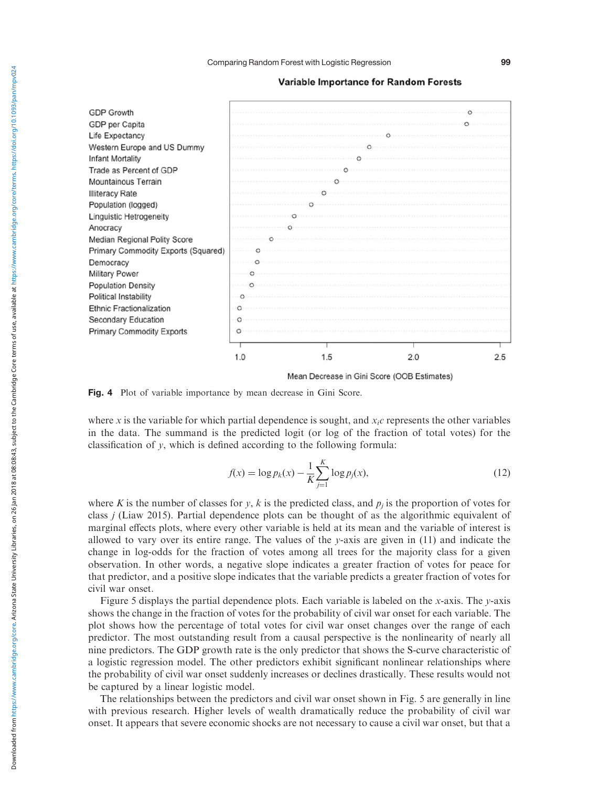#### Comparing Random Forest with Logistic Regression 99

### **Variable Importance for Random Forests**

<span id="page-12-0"></span>

Mean Decrease in Gini Score (OOB Estimates)

Fig. 4 Plot of variable importance by mean decrease in Gini Score.

where x is the variable for which partial dependence is sought, and  $x_i c$  represents the other variables in the data. The summand is the predicted logit (or log of the fraction of total votes) for the classification of y, which is defined according to the following formula:

$$
f(x) = \log p_k(x) - \frac{1}{K} \sum_{j=1}^{K} \log p_j(x),
$$
\n(12)

where K is the number of classes for y, k is the predicted class, and  $p_i$  is the proportion of votes for class j [\(Liaw 2015](#page-15-0)). Partial dependence plots can be thought of as the algorithmic equivalent of marginal effects plots, where every other variable is held at its mean and the variable of interest is allowed to vary over its entire range. The values of the y-axis are given in  $(11)$  and indicate the change in log-odds for the fraction of votes among all trees for the majority class for a given observation. In other words, a negative slope indicates a greater fraction of votes for peace for that predictor, and a positive slope indicates that the variable predicts a greater fraction of votes for civil war onset.

[Figure 5](#page-13-0) displays the partial dependence plots. Each variable is labeled on the x-axis. The  $y$ -axis shows the change in the fraction of votes for the probability of civil war onset for each variable. The plot shows how the percentage of total votes for civil war onset changes over the range of each predictor. The most outstanding result from a causal perspective is the nonlinearity of nearly all nine predictors. The GDP growth rate is the only predictor that shows the S-curve characteristic of a logistic regression model. The other predictors exhibit significant nonlinear relationships where the probability of civil war onset suddenly increases or declines drastically. These results would not be captured by a linear logistic model.

The relationships between the predictors and civil war onset shown in [Fig. 5](#page-13-0) are generally in line with previous research. Higher levels of wealth dramatically reduce the probability of civil war onset. It appears that severe economic shocks are not necessary to cause a civil war onset, but that a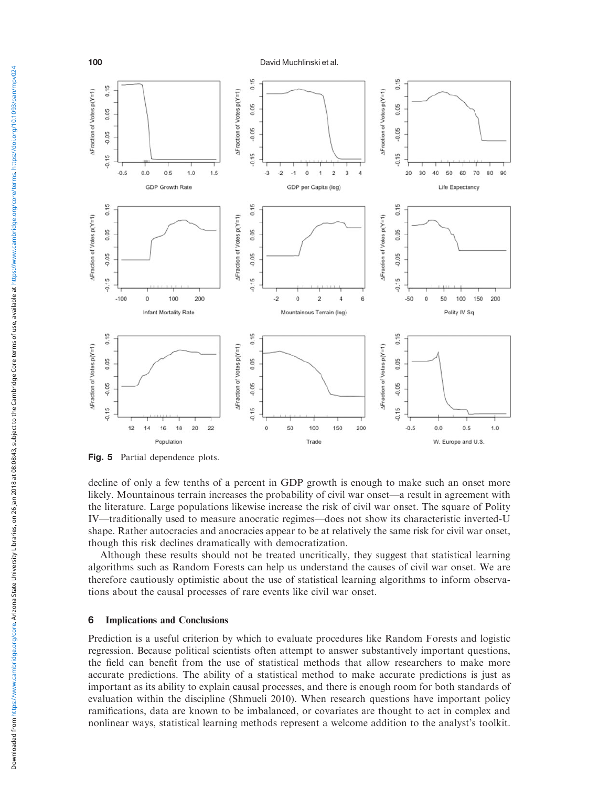<span id="page-13-0"></span>

Fig. 5 Partial dependence plots.

decline of only a few tenths of a percent in GDP growth is enough to make such an onset more likely. Mountainous terrain increases the probability of civil war onset—a result in agreement with the literature. Large populations likewise increase the risk of civil war onset. The square of Polity IV—traditionally used to measure anocratic regimes—does not show its characteristic inverted-U shape. Rather autocracies and anocracies appear to be at relatively the same risk for civil war onset, though this risk declines dramatically with democratization.

Although these results should not be treated uncritically, they suggest that statistical learning algorithms such as Random Forests can help us understand the causes of civil war onset. We are therefore cautiously optimistic about the use of statistical learning algorithms to inform observations about the causal processes of rare events like civil war onset.

# 6 Implications and Conclusions

Prediction is a useful criterion by which to evaluate procedures like Random Forests and logistic regression. Because political scientists often attempt to answer substantively important questions, the field can benefit from the use of statistical methods that allow researchers to make more accurate predictions. The ability of a statistical method to make accurate predictions is just as important as its ability to explain causal processes, and there is enough room for both standards of evaluation within the discipline [\(Shmueli 2010](#page-16-0)). When research questions have important policy ramifications, data are known to be imbalanced, or covariates are thought to act in complex and nonlinear ways, statistical learning methods represent a welcome addition to the analyst's toolkit.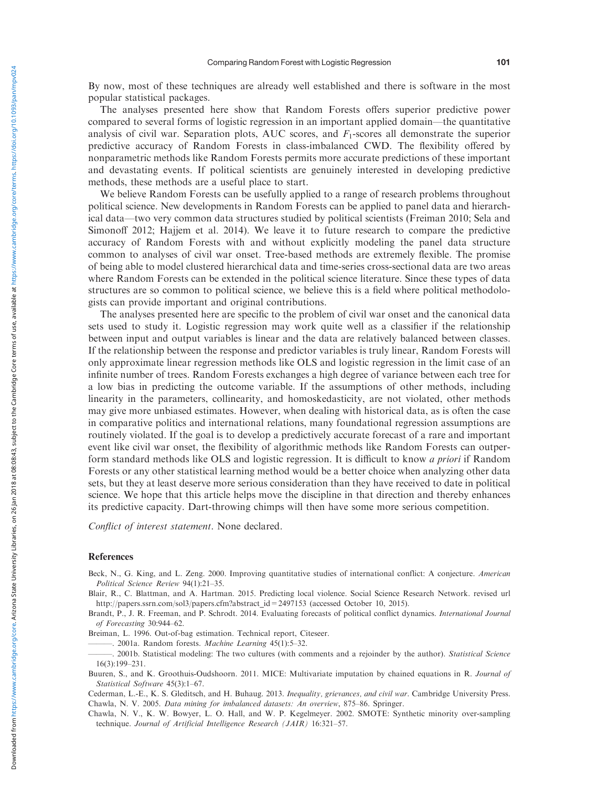<span id="page-14-0"></span>By now, most of these techniques are already well established and there is software in the most popular statistical packages.

The analyses presented here show that Random Forests offers superior predictive power compared to several forms of logistic regression in an important applied domain—the quantitative analysis of civil war. Separation plots, AUC scores, and  $F_1$ -scores all demonstrate the superior predictive accuracy of Random Forests in class-imbalanced CWD. The flexibility offered by nonparametric methods like Random Forests permits more accurate predictions of these important and devastating events. If political scientists are genuinely interested in developing predictive methods, these methods are a useful place to start.

We believe Random Forests can be usefully applied to a range of research problems throughout political science. New developments in Random Forests can be applied to panel data and hierarchical data—two very common data structures studied by political scientists [\(Freiman 2010;](#page-15-0) [Sela and](#page-16-0) [Simonoff 2012](#page-16-0); [Hajjem et al. 2014](#page-15-0)). We leave it to future research to compare the predictive accuracy of Random Forests with and without explicitly modeling the panel data structure common to analyses of civil war onset. Tree-based methods are extremely flexible. The promise of being able to model clustered hierarchical data and time-series cross-sectional data are two areas where Random Forests can be extended in the political science literature. Since these types of data structures are so common to political science, we believe this is a field where political methodologists can provide important and original contributions.

The analyses presented here are specific to the problem of civil war onset and the canonical data sets used to study it. Logistic regression may work quite well as a classifier if the relationship between input and output variables is linear and the data are relatively balanced between classes. If the relationship between the response and predictor variables is truly linear, Random Forests will only approximate linear regression methods like OLS and logistic regression in the limit case of an infinite number of trees. Random Forests exchanges a high degree of variance between each tree for a low bias in predicting the outcome variable. If the assumptions of other methods, including linearity in the parameters, collinearity, and homoskedasticity, are not violated, other methods may give more unbiased estimates. However, when dealing with historical data, as is often the case in comparative politics and international relations, many foundational regression assumptions are routinely violated. If the goal is to develop a predictively accurate forecast of a rare and important event like civil war onset, the flexibility of algorithmic methods like Random Forests can outperform standard methods like OLS and logistic regression. It is difficult to know a priori if Random Forests or any other statistical learning method would be a better choice when analyzing other data sets, but they at least deserve more serious consideration than they have received to date in political science. We hope that this article helps move the discipline in that direction and thereby enhances its predictive capacity. Dart-throwing chimps will then have some more serious competition.

Conflict of interest statement. None declared.

## References

Beck, N., G. King, and L. Zeng. 2000. Improving quantitative studies of international conflict: A conjecture. American Political Science Review 94(1):21–35.

Blair, R., C. Blattman, and A. Hartman. 2015. Predicting local violence. Social Science Research Network. revised url [http://papers.ssrn.com/sol3/papers.cfm?abstract\\_id=2497153](http://papers.ssrn.com/sol3/papers.cfm?abstract_id=2497153) (accessed October 10, 2015).

Brandt, P., J. R. Freeman, and P. Schrodt. 2014. Evaluating forecasts of political conflict dynamics. International Journal of Forecasting 30:944–62.

Breiman, L. 1996. Out-of-bag estimation. Technical report, Citeseer.

-. 2001a. Random forests. Machine Learning 45(1):5-32.

-. 2001b. Statistical modeling: The two cultures (with comments and a rejoinder by the author). Statistical Science 16(3):199–231.

Buuren, S., and K. Groothuis-Oudshoorn. 2011. MICE: Multivariate imputation by chained equations in R. Journal of Statistical Software 45(3):1–67.

Cederman, L.-E., K. S. Gleditsch, and H. Buhaug. 2013. Inequality, grievances, and civil war. Cambridge University Press. Chawla, N. V. 2005. Data mining for imbalanced datasets: An overview, 875–86. Springer.

Chawla, N. V., K. W. Bowyer, L. O. Hall, and W. P. Kegelmeyer. 2002. SMOTE: Synthetic minority over-sampling technique. Journal of Artificial Intelligence Research (JAIR) 16:321–57.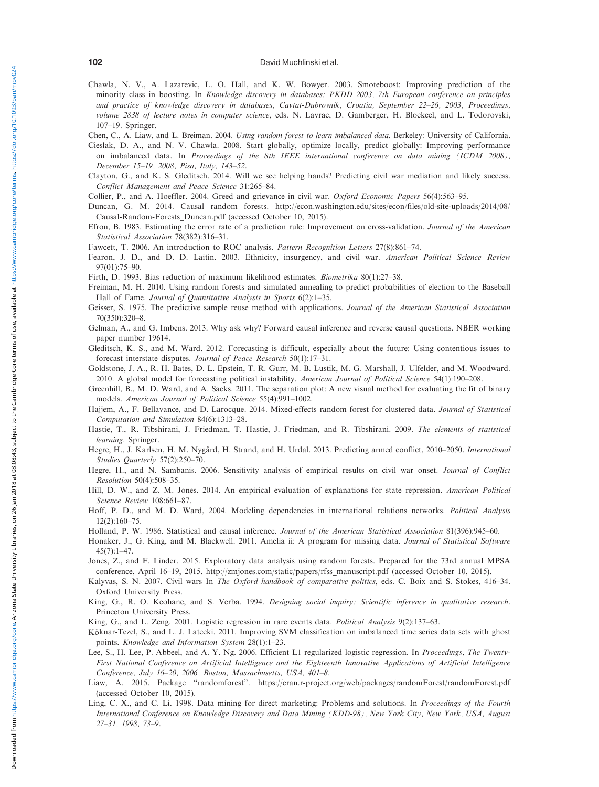<span id="page-15-0"></span>Chawla, N. V., A. Lazarevic, L. O. Hall, and K. W. Bowyer. 2003. Smoteboost: Improving prediction of the minority class in boosting. In Knowledge discovery in databases: PKDD 2003, 7th European conference on principles and practice of knowledge discovery in databases, Cavtat-Dubrovnik, Croatia, September 22–26, 2003, Proceedings, volume 2838 of lecture notes in computer science, eds. N. Lavrac, D. Gamberger, H. Blockeel, and L. Todorovski, 107–19. Springer.

Chen, C., A. Liaw, and L. Breiman. 2004. Using random forest to learn imbalanced data. Berkeley: University of California.

- Cieslak, D. A., and N. V. Chawla. 2008. Start globally, optimize locally, predict globally: Improving performance on imbalanced data. In Proceedings of the 8th IEEE international conference on data mining (ICDM 2008), December 15–19, 2008, Pisa, Italy, 143–52.
- Clayton, G., and K. S. Gleditsch. 2014. Will we see helping hands? Predicting civil war mediation and likely success. Conflict Management and Peace Science 31:265–84.
- Collier, P., and A. Hoeffler. 2004. Greed and grievance in civil war. Oxford Economic Papers 56(4):563–95.
- Duncan, G. M. 2014. Causal random forests. [http://econ.washington.edu/sites/econ/files/old-site-uploads/2014/08/](http://econ.washington.edu/sites/econ/files/old-site-uploads/2014/08/Causal-Random-Forests_Duncan.pdf) [Causal-Random-Forests\\_Duncan.pdf](http://econ.washington.edu/sites/econ/files/old-site-uploads/2014/08/Causal-Random-Forests_Duncan.pdf) (accessed October 10, 2015).
- Efron, B. 1983. Estimating the error rate of a prediction rule: Improvement on cross-validation. Journal of the American Statistical Association 78(382):316–31.
- Fawcett, T. 2006. An introduction to ROC analysis. Pattern Recognition Letters 27(8):861–74.
- Fearon, J. D., and D. D. Laitin. 2003. Ethnicity, insurgency, and civil war. American Political Science Review 97(01):75–90.
- Firth, D. 1993. Bias reduction of maximum likelihood estimates. Biometrika 80(1):27–38.
- Freiman, M. H. 2010. Using random forests and simulated annealing to predict probabilities of election to the Baseball Hall of Fame. Journal of Quantitative Analysis in Sports 6(2):1-35.
- Geisser, S. 1975. The predictive sample reuse method with applications. Journal of the American Statistical Association 70(350):320–8.
- Gelman, A., and G. Imbens. 2013. Why ask why? Forward causal inference and reverse causal questions. NBER working paper number 19614.
- Gleditsch, K. S., and M. Ward. 2012. Forecasting is difficult, especially about the future: Using contentious issues to forecast interstate disputes. Journal of Peace Research 50(1):17–31.
- Goldstone, J. A., R. H. Bates, D. L. Epstein, T. R. Gurr, M. B. Lustik, M. G. Marshall, J. Ulfelder, and M. Woodward. 2010. A global model for forecasting political instability. American Journal of Political Science 54(1):190–208.
- Greenhill, B., M. D. Ward, and A. Sacks. 2011. The separation plot: A new visual method for evaluating the fit of binary models. American Journal of Political Science 55(4):991–1002.
- Hajjem, A., F. Bellavance, and D. Larocque. 2014. Mixed-effects random forest for clustered data. Journal of Statistical Computation and Simulation 84(6):1313–28.
- Hastie, T., R. Tibshirani, J. Friedman, T. Hastie, J. Friedman, and R. Tibshirani. 2009. The elements of statistical learning. Springer.
- Hegre, H., J. Karlsen, H. M. Nygård, H. Strand, and H. Urdal. 2013. Predicting armed conflict, 2010-2050. International Studies Quarterly 57(2):250–70.
- Hegre, H., and N. Sambanis. 2006. Sensitivity analysis of empirical results on civil war onset. Journal of Conflict Resolution 50(4):508–35.
- Hill, D. W., and Z. M. Jones. 2014. An empirical evaluation of explanations for state repression. American Political Science Review 108:661–87.
- Hoff, P. D., and M. D. Ward, 2004. Modeling dependencies in international relations networks. Political Analysis 12(2):160–75.
- Holland, P. W. 1986. Statistical and causal inference. Journal of the American Statistical Association 81(396):945–60.
- Honaker, J., G. King, and M. Blackwell. 2011. Amelia ii: A program for missing data. Journal of Statistical Software 45(7):1–47.
- Jones, Z., and F. Linder. 2015. Exploratory data analysis using random forests. Prepared for the 73rd annual MPSA conference, April 16–19, 2015. [http://zmjones.com/static/papers/rfss\\_manuscript.pdf](http://zmjones.com/static/papers/rfss_manuscript.pdf) (accessed October 10, 2015).
- Kalyvas, S. N. 2007. Civil wars In The Oxford handbook of comparative politics, eds. C. Boix and S. Stokes, 416–34. Oxford University Press.
- King, G., R. O. Keohane, and S. Verba. 1994. Designing social inquiry: Scientific inference in qualitative research. Princeton University Press.
- King, G., and L. Zeng. 2001. Logistic regression in rare events data. Political Analysis 9(2):137–63.
- Köknar-Tezel, S., and L. J. Latecki. 2011. Improving SVM classification on imbalanced time series data sets with ghost points. Knowledge and Information System 28(1):1–23.
- Lee, S., H. Lee, P. Abbeel, and A. Y. Ng. 2006. Efficient L1 regularized logistic regression. In Proceedings, The Twenty-First National Conference on Artificial Intelligence and the Eighteenth Innovative Applications of Artificial Intelligence Conference, July 16–20, 2006, Boston, Massachusetts, USA, 401–8.
- Liaw, A. 2015. Package "randomforest".<https://cran.r-project.org/web/packages/randomForest/randomForest.pdf> (accessed October 10, 2015).
- Ling, C. X., and C. Li. 1998. Data mining for direct marketing: Problems and solutions. In Proceedings of the Fourth International Conference on Knowledge Discovery and Data Mining (KDD-98), New York City, New York, USA, August 27–31, 1998, 73–9.